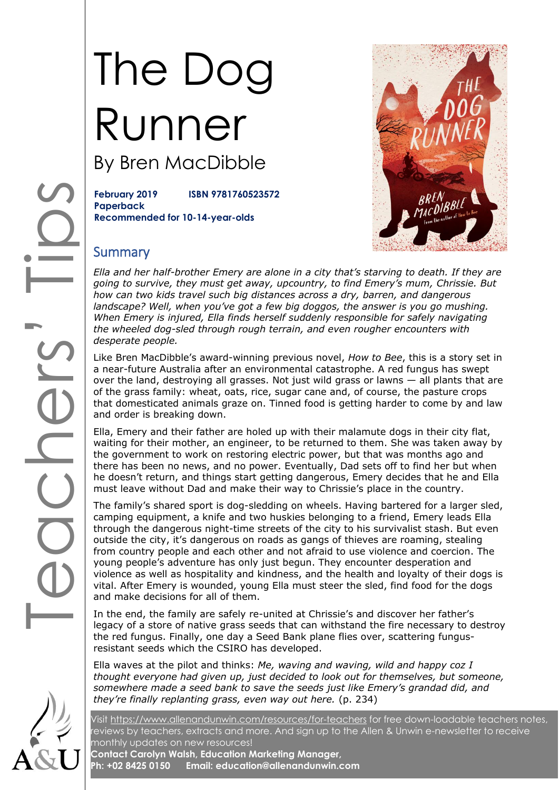# The Dog Runner By Bren MacDibble

**February 2019 ISBN 9781760523572 Paperback Recommended for 10-14-year-olds**



### **Summary**

*Ella and her half-brother Emery are alone in a city that's starving to death. If they are going to survive, they must get away, upcountry, to find Emery's mum, Chrissie. But how can two kids travel such big distances across a dry, barren, and dangerous landscape? Well, when you've got a few big doggos, the answer is you go mushing. When Emery is injured, Ella finds herself suddenly responsible for safely navigating the wheeled dog-sled through rough terrain, and even rougher encounters with desperate people.*

Like Bren MacDibble's award-winning previous novel, *How to Bee*, this is a story set in a near-future Australia after an environmental catastrophe. A red fungus has swept over the land, destroying all grasses. Not just wild grass or lawns — all plants that are of the grass family: wheat, oats, rice, sugar cane and, of course, the pasture crops that domesticated animals graze on. Tinned food is getting harder to come by and law and order is breaking down.

Ella, Emery and their father are holed up with their malamute dogs in their city flat, waiting for their mother, an engineer, to be returned to them. She was taken away by the government to work on restoring electric power, but that was months ago and there has been no news, and no power. Eventually, Dad sets off to find her but when he doesn't return, and things start getting dangerous, Emery decides that he and Ella must leave without Dad and make their way to Chrissie's place in the country.

The family's shared sport is dog-sledding on wheels. Having bartered for a larger sled, camping equipment, a knife and two huskies belonging to a friend, Emery leads Ella through the dangerous night-time streets of the city to his survivalist stash. But even outside the city, it's dangerous on roads as gangs of thieves are roaming, stealing from country people and each other and not afraid to use violence and coercion. The young people's adventure has only just begun. They encounter desperation and violence as well as hospitality and kindness, and the health and loyalty of their dogs is vital. After Emery is wounded, young Ella must steer the sled, find food for the dogs and make decisions for all of them.

In the end, the family are safely re-united at Chrissie's and discover her father's legacy of a store of native grass seeds that can withstand the fire necessary to destroy the red fungus. Finally, one day a Seed Bank plane flies over, scattering fungusresistant seeds which the CSIRO has developed.

Ella waves at the pilot and thinks: *Me, waving and waving, wild and happy coz I thought everyone had given up, just decided to look out for themselves, but someone, somewhere made a seed bank to save the seeds just like Emery's grandad did, and they're finally replanting grass, even way out here.* (p. 234)

Visit<https://www.allenandunwin.com/resources/for-teachers> for free down-loadable teachers notes, reviews by teachers, extracts and more. And sign up to the Allen & Unwin e-newsletter to receive monthly updates on new resources!

**Contact Carolyn Walsh, Education Marketing Manager, Ph: +02 8425 0150 Email: education@allenandunwin.com**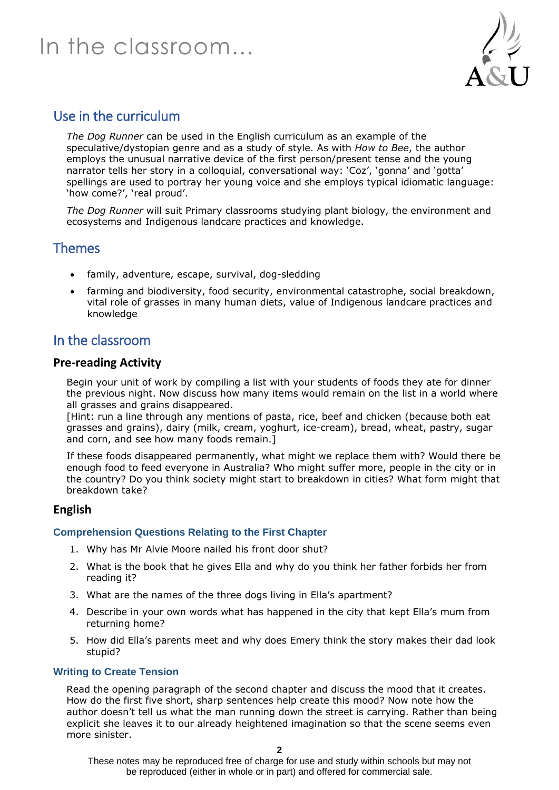

## Use in the curriculum

*The Dog Runner* can be used in the English curriculum as an example of the speculative/dystopian genre and as a study of style. As with *How to Bee*, the author employs the unusual narrative device of the first person/present tense and the young narrator tells her story in a colloquial, conversational way: 'Coz', 'gonna' and 'gotta' spellings are used to portray her young voice and she employs typical idiomatic language: 'how come?', 'real proud'.

*The Dog Runner* will suit Primary classrooms studying plant biology, the environment and ecosystems and Indigenous landcare practices and knowledge.

### Themes

- family, adventure, escape, survival, dog-sledding
- farming and biodiversity, food security, environmental catastrophe, social breakdown, vital role of grasses in many human diets, value of Indigenous landcare practices and knowledge

### In the classroom

#### **Pre-reading Activity**

Begin your unit of work by compiling a list with your students of foods they ate for dinner the previous night. Now discuss how many items would remain on the list in a world where all grasses and grains disappeared.

[Hint: run a line through any mentions of pasta, rice, beef and chicken (because both eat grasses and grains), dairy (milk, cream, yoghurt, ice-cream), bread, wheat, pastry, sugar and corn, and see how many foods remain.]

If these foods disappeared permanently, what might we replace them with? Would there be enough food to feed everyone in Australia? Who might suffer more, people in the city or in the country? Do you think society might start to breakdown in cities? What form might that breakdown take?

#### **English**

#### **Comprehension Questions Relating to the First Chapter**

- 1. Why has Mr Alvie Moore nailed his front door shut?
- 2. What is the book that he gives Ella and why do you think her father forbids her from reading it?
- 3. What are the names of the three dogs living in Ella's apartment?
- 4. Describe in your own words what has happened in the city that kept Ella's mum from returning home?
- 5. How did Ella's parents meet and why does Emery think the story makes their dad look stupid?

#### **Writing to Create Tension**

Read the opening paragraph of the second chapter and discuss the mood that it creates. How do the first five short, sharp sentences help create this mood? Now note how the author doesn't tell us what the man running down the street is carrying. Rather than being explicit she leaves it to our already heightened imagination so that the scene seems even more sinister.

These notes may be reproduced free of charge for use and study within schools but may not be reproduced (either in whole or in part) and offered for commercial sale.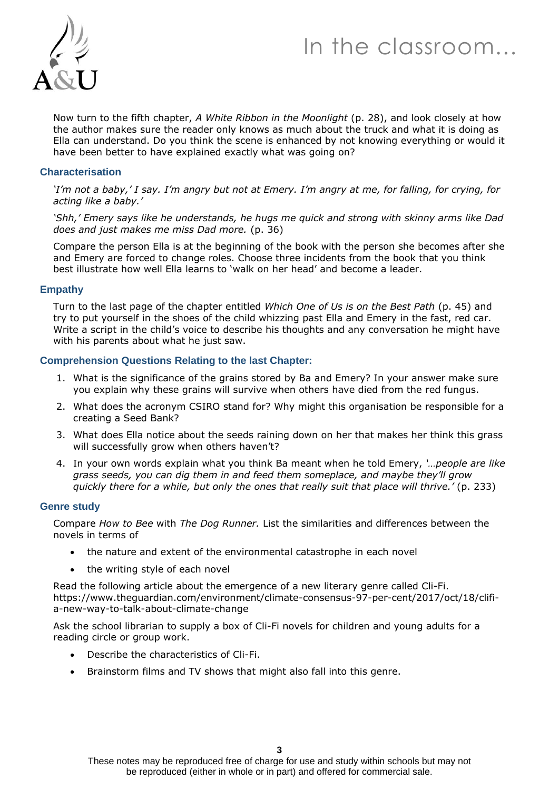

Now turn to the fifth chapter, *A White Ribbon in the Moonlight* (p. 28), and look closely at how the author makes sure the reader only knows as much about the truck and what it is doing as Ella can understand. Do you think the scene is enhanced by not knowing everything or would it have been better to have explained exactly what was going on?

#### **Characterisation**

*'I'm not a baby,' I say. I'm angry but not at Emery. I'm angry at me, for falling, for crying, for acting like a baby.'*

*'Shh,' Emery says like he understands, he hugs me quick and strong with skinny arms like Dad does and just makes me miss Dad more.* (p. 36)

Compare the person Ella is at the beginning of the book with the person she becomes after she and Emery are forced to change roles. Choose three incidents from the book that you think best illustrate how well Ella learns to 'walk on her head' and become a leader.

#### **Empathy**

Turn to the last page of the chapter entitled *Which One of Us is on the Best Path* (p. 45) and try to put yourself in the shoes of the child whizzing past Ella and Emery in the fast, red car. Write a script in the child's voice to describe his thoughts and any conversation he might have with his parents about what he just saw.

#### **Comprehension Questions Relating to the last Chapter:**

- 1. What is the significance of the grains stored by Ba and Emery? In your answer make sure you explain why these grains will survive when others have died from the red fungus.
- 2. What does the acronym CSIRO stand for? Why might this organisation be responsible for a creating a Seed Bank?
- 3. What does Ella notice about the seeds raining down on her that makes her think this grass will successfully grow when others haven't?
- 4. In your own words explain what you think Ba meant when he told Emery, *'…people are like grass seeds, you can dig them in and feed them someplace, and maybe they'll grow quickly there for a while, but only the ones that really suit that place will thrive.'* (p. 233)

#### **Genre study**

Compare *How to Bee* with *The Dog Runner.* List the similarities and differences between the novels in terms of

- the nature and extent of the environmental catastrophe in each novel
- the writing style of each novel

Read the following article about the emergence of a new literary genre called Cli-Fi. [https://www.theguardian.com/environment/climate-consensus-97-per-cent/2017/oct/18/clifi](https://www.theguardian.com/environment/climate-consensus-97-per-cent/2017/oct/18/clifi-a-new-way-to-talk-about-climate-change)[a-new-way-to-talk-about-climate-change](https://www.theguardian.com/environment/climate-consensus-97-per-cent/2017/oct/18/clifi-a-new-way-to-talk-about-climate-change)

Ask the school librarian to supply a box of Cli-Fi novels for children and young adults for a reading circle or group work.

- Describe the characteristics of Cli-Fi.
- Brainstorm films and TV shows that might also fall into this genre.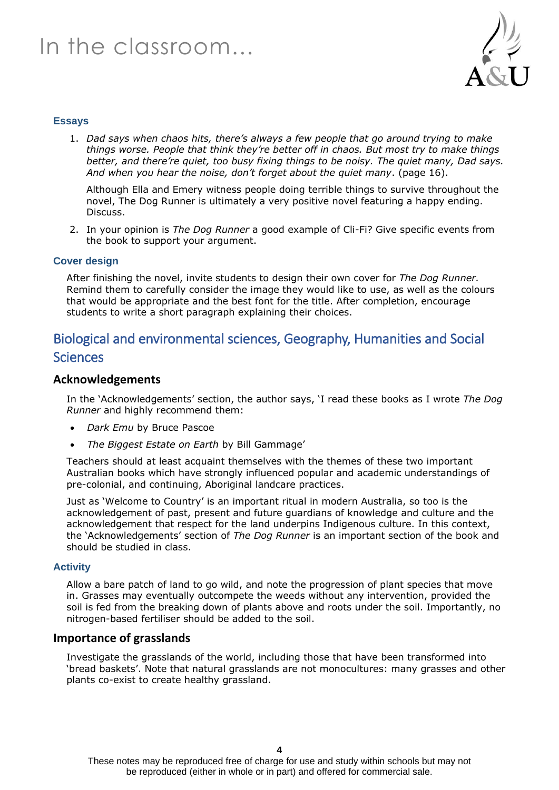

#### **Essays**

1. *Dad says when chaos hits, there's always a few people that go around trying to make things worse. People that think they're better off in chaos. But most try to make things better, and there're quiet, too busy fixing things to be noisy. The quiet many, Dad says. And when you hear the noise, don't forget about the quiet many*. (page 16).

Although Ella and Emery witness people doing terrible things to survive throughout the novel, The Dog Runner is ultimately a very positive novel featuring a happy ending. Discuss.

2. In your opinion is *The Dog Runner* a good example of Cli-Fi? Give specific events from the book to support your argument.

#### **Cover design**

After finishing the novel, invite students to design their own cover for *The Dog Runner.*  Remind them to carefully consider the image they would like to use, as well as the colours that would be appropriate and the best font for the title. After completion, encourage students to write a short paragraph explaining their choices.

# Biological and environmental sciences, Geography, Humanities and Social **Sciences**

#### **Acknowledgements**

In the 'Acknowledgements' section, the author says, 'I read these books as I wrote *The Dog Runner* and highly recommend them:

- *Dark Emu* by Bruce Pascoe
- *The Biggest Estate on Earth* by Bill Gammage'

Teachers should at least acquaint themselves with the themes of these two important Australian books which have strongly influenced popular and academic understandings of pre-colonial, and continuing, Aboriginal landcare practices.

Just as 'Welcome to Country' is an important ritual in modern Australia, so too is the acknowledgement of past, present and future guardians of knowledge and culture and the acknowledgement that respect for the land underpins Indigenous culture. In this context, the 'Acknowledgements' section of *The Dog Runner* is an important section of the book and should be studied in class.

#### **Activity**

Allow a bare patch of land to go wild, and note the progression of plant species that move in. Grasses may eventually outcompete the weeds without any intervention, provided the soil is fed from the breaking down of plants above and roots under the soil. Importantly, no nitrogen-based fertiliser should be added to the soil.

#### **Importance of grasslands**

Investigate the grasslands of the world, including those that have been transformed into 'bread baskets'. Note that natural grasslands are not monocultures: many grasses and other plants co-exist to create healthy grassland.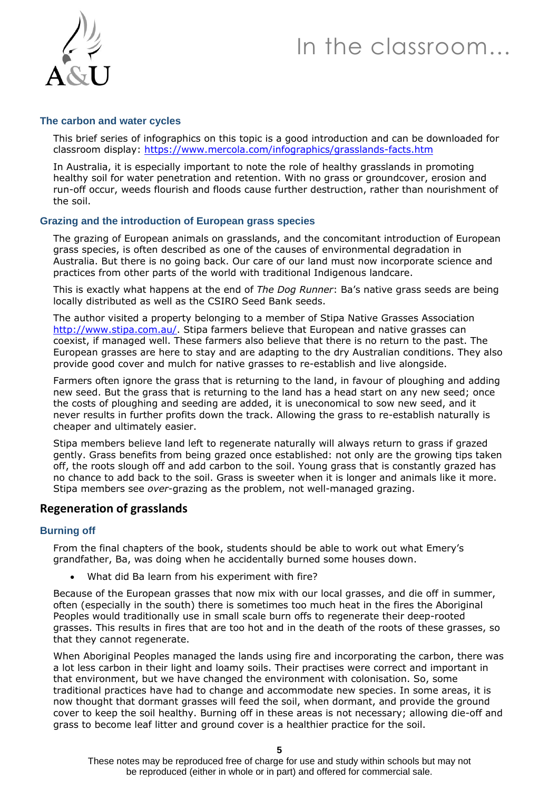

#### **The carbon and water cycles**

This brief series of infographics on this topic is a good introduction and can be downloaded for classroom display:<https://www.mercola.com/infographics/grasslands-facts.htm>

In Australia, it is especially important to note the role of healthy grasslands in promoting healthy soil for water penetration and retention. With no grass or groundcover, erosion and run-off occur, weeds flourish and floods cause further destruction, rather than nourishment of the soil.

#### **Grazing and the introduction of European grass species**

The grazing of European animals on grasslands, and the concomitant introduction of European grass species, is often described as one of the causes of environmental degradation in Australia. But there is no going back. Our care of our land must now incorporate science and practices from other parts of the world with traditional Indigenous landcare.

This is exactly what happens at the end of *The Dog Runner*: Ba's native grass seeds are being locally distributed as well as the CSIRO Seed Bank seeds.

The author visited a property belonging to a member of Stipa Native Grasses Association [http://www.stipa.com.au/.](http://www.stipa.com.au/) Stipa farmers believe that European and native grasses can coexist, if managed well. These farmers also believe that there is no return to the past. The European grasses are here to stay and are adapting to the dry Australian conditions. They also provide good cover and mulch for native grasses to re-establish and live alongside.

Farmers often ignore the grass that is returning to the land, in favour of ploughing and adding new seed. But the grass that is returning to the land has a head start on any new seed; once the costs of ploughing and seeding are added, it is uneconomical to sow new seed, and it never results in further profits down the track. Allowing the grass to re-establish naturally is cheaper and ultimately easier.

Stipa members believe land left to regenerate naturally will always return to grass if grazed gently. Grass benefits from being grazed once established: not only are the growing tips taken off, the roots slough off and add carbon to the soil. Young grass that is constantly grazed has no chance to add back to the soil. Grass is sweeter when it is longer and animals like it more. Stipa members see *over*-grazing as the problem, not well-managed grazing.

#### **Regeneration of grasslands**

#### **Burning off**

From the final chapters of the book, students should be able to work out what Emery's grandfather, Ba, was doing when he accidentally burned some houses down.

What did Ba learn from his experiment with fire?

Because of the European grasses that now mix with our local grasses, and die off in summer, often (especially in the south) there is sometimes too much heat in the fires the Aboriginal Peoples would traditionally use in small scale burn offs to regenerate their deep-rooted grasses. This results in fires that are too hot and in the death of the roots of these grasses, so that they cannot regenerate.

When Aboriginal Peoples managed the lands using fire and incorporating the carbon, there was a lot less carbon in their light and loamy soils. Their practises were correct and important in that environment, but we have changed the environment with colonisation. So, some traditional practices have had to change and accommodate new species. In some areas, it is now thought that dormant grasses will feed the soil, when dormant, and provide the ground cover to keep the soil healthy. Burning off in these areas is not necessary; allowing die-off and grass to become leaf litter and ground cover is a healthier practice for the soil.

These notes may be reproduced free of charge for use and study within schools but may not be reproduced (either in whole or in part) and offered for commercial sale.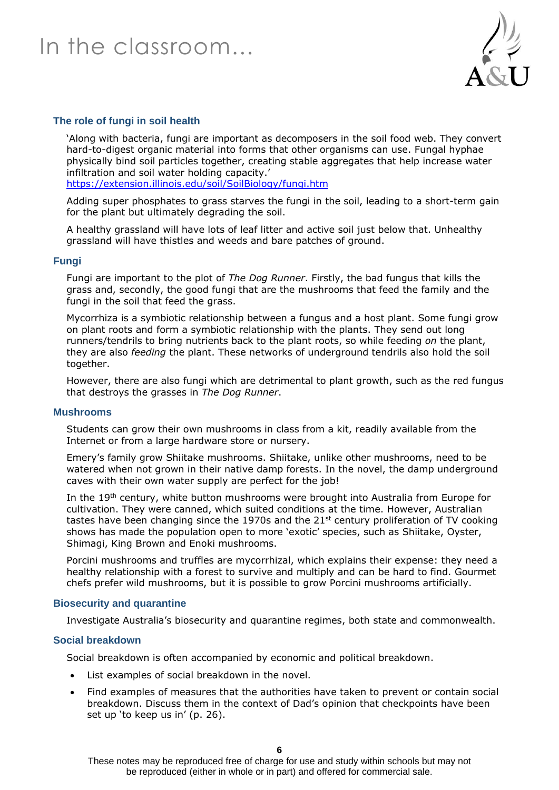

#### **The role of fungi in soil health**

'Along with bacteria, fungi are important as decomposers in the soil food web. They convert hard-to-digest organic material into forms that other organisms can use. Fungal hyphae physically bind soil particles together, creating stable aggregates that help increase water infiltration and soil water holding capacity.' <https://extension.illinois.edu/soil/SoilBiology/fungi.htm>

Adding super phosphates to grass starves the fungi in the soil, leading to a short-term gain for the plant but ultimately degrading the soil.

A healthy grassland will have lots of leaf litter and active soil just below that. Unhealthy grassland will have thistles and weeds and bare patches of ground.

#### **Fungi**

Fungi are important to the plot of *The Dog Runner*. Firstly, the bad fungus that kills the grass and, secondly, the good fungi that are the mushrooms that feed the family and the fungi in the soil that feed the grass.

Mycorrhiza is a symbiotic relationship between a fungus and a host plant. Some fungi grow on plant roots and form a symbiotic relationship with the plants. They send out long runners/tendrils to bring nutrients back to the plant roots, so while feeding *on* the plant, they are also *feeding* the plant. These networks of underground tendrils also hold the soil together.

However, there are also fungi which are detrimental to plant growth, such as the red fungus that destroys the grasses in *The Dog Runner*.

#### **Mushrooms**

Students can grow their own mushrooms in class from a kit, readily available from the Internet or from a large hardware store or nursery.

Emery's family grow Shiitake mushrooms. Shiitake, unlike other mushrooms, need to be watered when not grown in their native damp forests. In the novel, the damp underground caves with their own water supply are perfect for the job!

In the 19<sup>th</sup> century, white button mushrooms were brought into Australia from Europe for cultivation. They were canned, which suited conditions at the time. However, Australian tastes have been changing since the 1970s and the 21<sup>st</sup> century proliferation of TV cooking shows has made the population open to more 'exotic' species, such as Shiitake, Oyster, Shimagi, King Brown and Enoki mushrooms.

Porcini mushrooms and truffles are mycorrhizal, which explains their expense: they need a healthy relationship with a forest to survive and multiply and can be hard to find. Gourmet chefs prefer wild mushrooms, but it is possible to grow Porcini mushrooms artificially.

#### **Biosecurity and quarantine**

Investigate Australia's biosecurity and quarantine regimes, both state and commonwealth.

#### **Social breakdown**

Social breakdown is often accompanied by economic and political breakdown.

- List examples of social breakdown in the novel.
- Find examples of measures that the authorities have taken to prevent or contain social breakdown. Discuss them in the context of Dad's opinion that checkpoints have been set up 'to keep us in' (p. 26).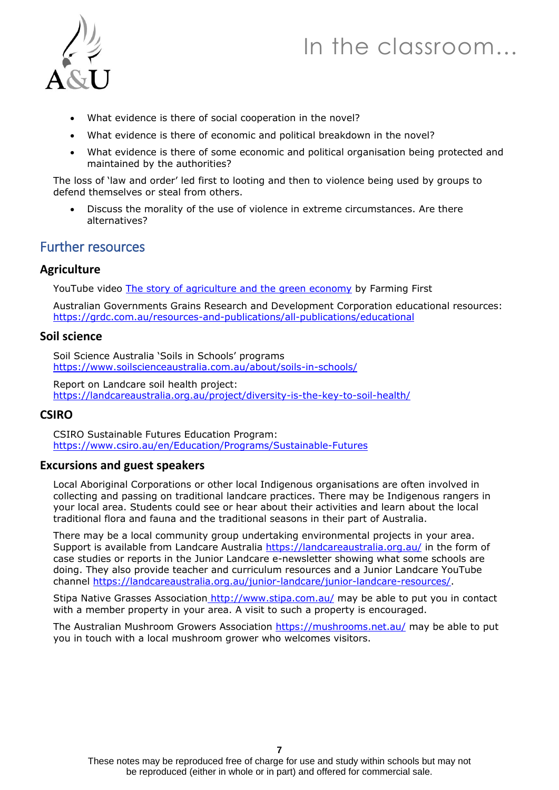



- What evidence is there of social cooperation in the novel?
- What evidence is there of economic and political breakdown in the novel?
- What evidence is there of some economic and political organisation being protected and maintained by the authorities?

The loss of 'law and order' led first to looting and then to violence being used by groups to defend themselves or steal from others.

• Discuss the morality of the use of violence in extreme circumstances. Are there alternatives?

### Further resources

#### **Agriculture**

YouTube video [The story of agriculture and the green economy](https://www.youtube.com/watch?v=twGev010Zwc) by Farming First

Australian Governments Grains Research and Development Corporation educational resources: <https://grdc.com.au/resources-and-publications/all-publications/educational>

#### **Soil science**

Soil Science Australia 'Soils in Schools' programs <https://www.soilscienceaustralia.com.au/about/soils-in-schools/>

Report on Landcare soil health project: <https://landcareaustralia.org.au/project/diversity-is-the-key-to-soil-health/>

### **CSIRO**

CSIRO Sustainable Futures Education Program: <https://www.csiro.au/en/Education/Programs/Sustainable-Futures>

#### **Excursions and guest speakers**

Local Aboriginal Corporations or other local Indigenous organisations are often involved in collecting and passing on traditional landcare practices. There may be Indigenous rangers in your local area. Students could see or hear about their activities and learn about the local traditional flora and fauna and the traditional seasons in their part of Australia.

There may be a local community group undertaking environmental projects in your area. Support is available from Landcare Australia<https://landcareaustralia.org.au/> in the form of case studies or reports in the Junior Landcare e-newsletter showing what some schools are doing. They also provide teacher and curriculum resources and a Junior Landcare YouTube channel [https://landcareaustralia.org.au/junior-landcare/junior-landcare-resources/.](https://landcareaustralia.org.au/junior-landcare/junior-landcare-resources/)

Stipa Native Grasses Association <http://www.stipa.com.au/> may be able to put you in contact with a member property in your area. A visit to such a property is encouraged.

The Australian Mushroom Growers Association<https://mushrooms.net.au/> may be able to put you in touch with a local mushroom grower who welcomes visitors.

These notes may be reproduced free of charge for use and study within schools but may not be reproduced (either in whole or in part) and offered for commercial sale.